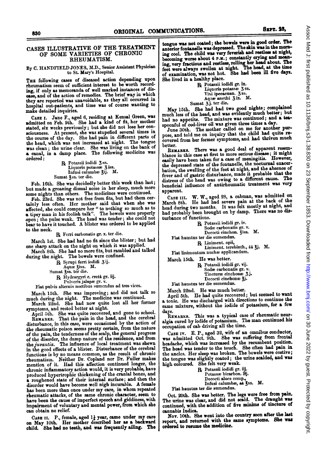## CASES ILLUSTRATIVE OF THE TREATMENT OF SOME VARIETIES OF CHRONIC RHEUMATISM.

## By C. HANDFIELD JONES, M.D., Senior Assistant Physician to St. Mary's Hospital.

THE following cases of diseased action depending upon rheumatism seem of sufficient interest to be worth recording, if only as memoranda of well marked instances of disease, and of the action of remedies. The brief way in which they are reported was unavoidable, as they all occurred in hospital out-patients, and time was of course wanting to make detailed inquiries.

CAsE I. Jane F., aged 6, residing at Kensal Green, was admitted on Feb. 9th. She had a kind of fit, her mother stated, six weeks previously; but she did not lose her consciousness. At present, she was stupefied several times in the course of the day. She had pain in different parts of the head, which was not increased at night. The tongue was clean; the urine clear. She was living on the bank of a canal, in <sup>a</sup> damp place. The following medicine was ordered:

 $R$  Potassii iodidi  $3$  ss. Liquoris potassæ 3 iss. Infusi calumbæ 31j. M. Sumat 3ss. ter die.

Feb. 16th. She was decidedly better this week than last; but made <sup>a</sup> groaning dismal noise in her sleep, much more some nights than others. The medicines were continued.

Feb. 23rd. She was not free from fits, but had them certainly less often. Her mother said that when she was affected, she could compare her " to nothing so much as to a tipsy man in his foolish talk". The bowels were properly open; the pulse weak. The head was tender; she could not bear to have it touched. A blister was ordered to be applied to the neck.

Rg Ferri carbonatis gr. x. ter die.

March 1st. She had had no fit since the blister; but had one sharp attack on the night on which it was applied. March 8th. She had no more fits, but rambled and talked

during the night. The bowels were confined.

B Syrupi ferri iodidi 3 ij. Aqua 3iss. M.

Sumat 3ss. ter die.

R Hydrargyri c. creta gr. iij. Puilveris jalapin gr. v.

Fiat pulvis alternis noctibus sumendus ad tres vices.

March 15th. She was improving; and did not talk so much during the night. The medicine was continued.

March 22nd. She had now quite lost all her former symptoms, and rested better at night.

April 5th. She was quite recovered, and gone to school.<br>REMARKS. That the pain in the head, and the cerebral That the pain in the head, and the cerebral disturbance, in this case, were occasioned by the action of the rheumatic poison seems pretty certain, from the nature of the pain, the tenderness of the scalp, the general progress of the disorder, the damp nature of the residence, and from the *juvantia*. The influence of local treatment was shewn in the good effects of a blister. Disturbance of the cerebral functions is by no means common, as the result of chronic rheumatism. Neither Dr. Copland nor Dr. Fuller makes mention of it. Had this affection continued longer, the chronic inflammatory action would, it is very probable, have produced hypertrophic thickening of the cranial bones, and a roughened state of their internal surface; and then the disorder would have become well nigh incurable. A female has been more than once under my care, in whom repeated rheumatic attacks, of the same chronic character, seem to have been the cause of imperfect speech and giddiness, with impairment of voluntary and mental power, from which she can obtain no relief.

CASE II. P., female, aged 1} year, came under my care on May lOth. Her mother described her as a backward child. She had no teeth, and was frequently ailing. The

tongue was not coated; the bowels were in good order. The anterior fontanelle was depressed. The skin was in the morning cool. The child was very feverish and restless at night, becoming worse about 4 P.M.; constantly crying and moaning, very fractious and restless, rolling her head about. The feet were always swollen at night. The head, at the time of examination, was not hot. She had been ill five days. She lived in a healthy place.

B? Potassii iodidi gr. ix. Liquoris potassæ 3 ss. Vini ipecacuan. 3ss. Aque anethi 3 ix. M. Sumat 3j. ter die.

May 15th. She had had two good nights; complained much less of the head, and was evidently much better; but had no appetite. The mixture was continued; and a tea-

spoonful of cod-liver oil was given three times a day.<br>June 30th. The mother called on me for another purpose, and told me on inquiry that the child had quite recovered from her former symptoms, and had thriven much better.

REMARKs. There was a good deal of apparent resemblance in this case at first to more serious disease; it might easily have been taken for <sup>a</sup> case of meningitis. However, the depressed state of the fontanelle, the nocturnal exacerbation, the swelling of the feet at night, and the absence of fever and of gastric disturbance, made it probable that the distress of the head was owing to <sup>a</sup> different cause. The beneficial influence of antirheumatic treatment was very apparent.

CASE III. W. W., aged 28, <sup>a</sup> cabman, was admitted on March 8th. He had had severe pain at the back of the head during two months. It was felt mostly at night, and had probably been brought on by damp. There was no disturbance of functions.

BC Potassii iodidi gr. iv. Sodæ carbonatis gr. v. Decocti cinchon.  $\check{\mathbf{z}}$ iss. M. Fiat haustus ter die sumendus.

& Liniment. opii,

Liniment. terebinth., aa 3j. M. Fiat linimentum nuchæ applicandum.

March 15th. He was better.

B Potassii iodidi gr. vij. Sodæ carbonatis gr. v.

Tincturæ cinchonæ 3j. Decocti cinchonae 3j.

Fiat haustus ter die sumendus.

March 22nd. He was much better.

April 5th. He had quite recovered; but seemed to want a tonic. He was discharged with directions to continue the same mixture, without the iodide of potassium, for a few

ays.<br>REMARKS. This was a typical case of rheumatic neuralgia cured by iodide of potassium. The man continued his occupation of cab driving all the time.

CASE IV. E. P., aged 32, wife of an omnibus conductor, was admitted Oct. 9th. She was suffering from frontal headache, which was increased by the recumbent position. The head was tender to the touch. She often had pain in the ancles. Her sleep was broken. The bowels were costive; the tongue was slightly coated; the urine scalded, and was high coloured. She felt very weak.

B Potassii iodidi gr. iij. Potassæ bicarbon.  $\partial j$ . Decocti aloes comp.,<br>Infusi calumbæ, aa 3ss. M.

Fiat haustus ter die sumendus.

Oct. 20th. She was better. The legs were free from pain. The urine was clear, and did not scald. The draught was continued, with the addition of five minims of tincture of cannabis Indica.

Nov. 10th. She went into the country soon after the last report, and returned with the same symptoms. She was ordered to resume the medicine.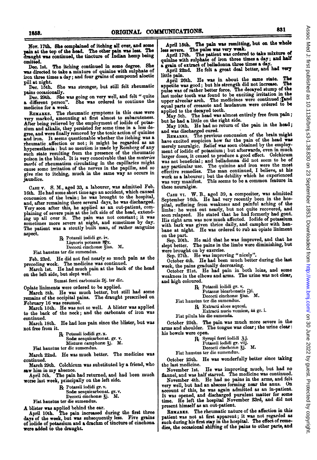Nov. 17th. She oomplainod of itching all over, and some pain at the top of the head. The other pain was less. The draught was continued, the tincture of Indian hemp being omitted.

Dec. Ist. The itching continued in some degree. She was directed to take a mixture of quinine with sulphate of iron three times a day; and four grains of compound aloetic pill at night.

Dec. 15th. She was stronger, but still felt rheumatic pains occasionally.

Dec. 29th. She was going on very well, and felt " quite a different person". She was ordered to continue the medicine for a week.

REMARKS. The rheumatic symptoms in this case were very marked, amounting at first almost to subacuteness. After being relieved by the employment of iodide of potassium and alkalis, they persisted for some time in a less degree, and were finally removed by the tonic action of quinine and iron. It seems questionable whether the itching was a rheumatic.affection or not; it might be regarded as an hypersesthesia: but no mention is made by Romberg of any such state resulting from the presence of the rheumatic poison in the blood. It is very conceivable that the materies morbi of rheumatism circulating in the capillaries might cause some irritation of the nerves in the papille, and so give rise to itching, much in the same way as occurs in jaundice.

CASE V. S. M., aged 33, a labourer, was admitted Feb. 16th. He had some short time ago an accident, which caused concussion of the brain; he was brought to the hospital, and, after remaining there several days, he was discharged. Very soon after this, he applied as an out-patient, complaining of severe pain at the left side of the head, extending up all over it. The pain was not constant; it was sometimes more severe at night, and sometimes by day. The patient was a stoutly built man, of rather sanguine aspect.

Bx Potassii iodidi gr. iv. Liquoris potassæ MX. Decocti cinchonse fiss. M. Fiat haustus ter die sumendus.

Feb. 23rd. He did not feel nearly so much pain as the

preceding week. The medicine was continued. March 1st. He had much pain at the back of the head on the left side, but slept well.

Sumat ferri carbonatis 9j. ter die.

Opiate liniments were ordered to be applied.

March 8th. He was much better, but still had some remains of the occipital pains. The draught prescribed on February 16 was resumed.

March 15th. He was not so well. A blister was applied to the back of the neck; and the carbonate of iron was continued.

March 18th. He had less pain since the blister, but was not free from it.

B Potassii iodidi gr. x.

Sodæ sesquicarbonat. gr. v. Misturæ camphoræ  $\zeta$ j. M.

Fiat haustus ter die sumendus.

March 22nd. He was much better. The medicine was continued.

March 29th. Colchicum was substituted by a friend, who

saw him in my absence. April 5th. The pain had returned, and had been much worse last week, piincipally on the left side.

& Potassii iodidi gr. v.

Sodæ sesquicarbonat. gr. v. Decocti cinchonse 3j. M.

Fiat haustus ter die sumendus.

A blister was applied behind the ear. April 10th. The pain increased during the first three days of the week, but was subsequently less. Five grains of iodide of potassium and a drachm of tincture of cinchona were added to the draught.

April 15th. The pain was remitting, but on the whole less severe. The pulse was very weak.

April 17th. The patient was ordered to take mixture of quinine with sulphate of iron three times a day; and half a grain of extract of belladonna three times a day

April 22nd. He felt a great deal better, and had very little pain.

April 26th. He was in about the same state. The appetite was good; but his strength did not increase. The pulse was of rather better force. The decayed stump of the last molar tooth was found to be exciting irritation in the upper alveolar arch. The medicines were continued tand equal parts of creasote and laudanum were ordered to be

applied to the decayed tooth.<br>May 5th. The head was almost entirely free from pain; but he had a little on the right side.

May 10th. He had no return of the pain in the head; and was discharged cured.

REMARKS. The previous concussion of the brain might have excited suspicion how far the pain of the head was merely neuralgic. Relief was soon obtained by the employment of iodide of potassium; but afterwards, even in much larger doses, it ceased to produce a good effect. Colchicum was not beneficial; and belladonna did not seem to be of any particular use. The quinine and iron were the most any particular use. The quinine and iron were the most effective remedies. The man continued, <sup>I</sup> believe, at his work as a labourer; but the debility which he experienced<br>was very manifest. This seems to be a common feature in these neuralgia.

CASE VT. W. B., aged 39, a compositor, was admitted September 16th. He had very recently been in the hospital, suffering from weakness and painful aching of the limbs: he went out nearly, but not quite recovered, and soon relapsed. He stated that he had formerly had gout. His right arm was now much affected. Iodide of potassium with bark was given thrice daily, and camphor with henbane at night. He was ordered to rub an opiate liniment on the part.

Sep. 20th. He said that he was improved, and that he slept better. The pains in the limbs were diminishing, but were brought on by exercise.

Sep. 27th. He was improving "nicely".

October 4th. He had been much better during the last.

week, the pains gradually decreasing. October 21st. He had pain in both loins, and some weakness in the elbows and arms. The urine was not clear, and high coloured.

R Potassii iodidi gr. v.

Potassæ bicarbonatis  $\Theta$ i.

Decocti cinchonae ziss. M.

Fiat haustus ter die sumendus.<br>
R Extracti aloes aquosi,

Extracti nucis vomice, aa gr. i.

Fiat pilula bis die sumenda.

October 25th. The pain was much more severe in the arms and shoulder. The tongue was clear; the urine clear: his bowels were open.

| R. Syrupi ferri iodidi 3.j. |  |  |
|-----------------------------|--|--|
|                             |  |  |
|                             |  |  |

Re Syrupi fern iodidi 31.<br>Potassii iodidi gr. viij.

Decocti cinchone 3j. M.

Fiat haustus ter die sumendus.

October 25th. He was wonderfully better since taking the last medicine.<br>November 1st.

He was improving nuch, but had no flannel, and was half starved. The medicine was continued.

November 4th. He had no pains in the arms, and felt very well, but had an abscess forming near the anus. On account of this, he was again admitted as an in-patient. It was opened, and discharged purulent matter for some time. He left the hospital November 23rd, and did not present himself as an out-patient.

REMARKS. The rheumatic nature of the affection in this patient was not at first apparent; it was not regarded as such during his first stay in the hospital. The effect of remedies, the occasional shifting of the pains to other parts, and